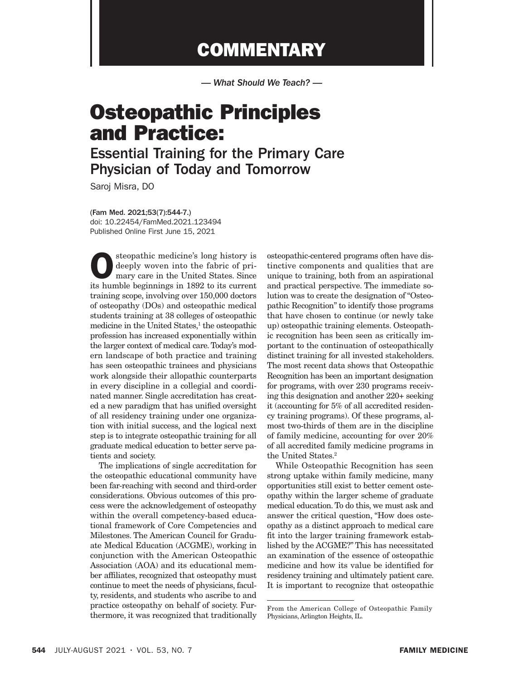## **COMMENTARY**

*— What Should We Teach? —*

# Osteopathic Principles and Practice:

### Essential Training for the Primary Care Physician of Today and Tomorrow

Saroj Misra, DO

(Fam Med. 2021;53(7):544-7.) doi: 10.22454/FamMed.2021.123494 Published Online First June 15, 2021

Steopathic medicine's long history is<br>deeply woven into the fabric of pri-<br>mary care in the United States. Since<br>its humble borinnings in 1892 to its current deeply woven into the fabric of primary care in the United States. Since its humble beginnings in 1892 to its current training scope, involving over 150,000 doctors of osteopathy (DOs) and osteopathic medical students training at 38 colleges of osteopathic medicine in the United States,<sup>1</sup> the osteopathic profession has increased exponentially within the larger context of medical care. Today's modern landscape of both practice and training has seen osteopathic trainees and physicians work alongside their allopathic counterparts in every discipline in a collegial and coordinated manner. Single accreditation has created a new paradigm that has unified oversight of all residency training under one organization with initial success, and the logical next step is to integrate osteopathic training for all graduate medical education to better serve patients and society.

The implications of single accreditation for the osteopathic educational community have been far-reaching with second and third-order considerations. Obvious outcomes of this process were the acknowledgement of osteopathy within the overall competency-based educational framework of Core Competencies and Milestones. The American Council for Graduate Medical Education (ACGME), working in conjunction with the American Osteopathic Association (AOA) and its educational member affiliates, recognized that osteopathy must continue to meet the needs of physicians, faculty, residents, and students who ascribe to and practice osteopathy on behalf of society. Furthermore, it was recognized that traditionally

osteopathic-centered programs often have distinctive components and qualities that are unique to training, both from an aspirational and practical perspective. The immediate solution was to create the designation of "Osteopathic Recognition" to identify those programs that have chosen to continue (or newly take up) osteopathic training elements. Osteopathic recognition has been seen as critically important to the continuation of osteopathically distinct training for all invested stakeholders. The most recent data shows that Osteopathic Recognition has been an important designation for programs, with over 230 programs receiving this designation and another 220+ seeking it (accounting for 5% of all accredited residency training programs). Of these programs, almost two-thirds of them are in the discipline of family medicine, accounting for over 20% of all accredited family medicine programs in the United States.<sup>2</sup>

While Osteopathic Recognition has seen strong uptake within family medicine, many opportunities still exist to better cement osteopathy within the larger scheme of graduate medical education. To do this, we must ask and answer the critical question, "How does osteopathy as a distinct approach to medical care fit into the larger training framework established by the ACGME?" This has necessitated an examination of the essence of osteopathic medicine and how its value be identified for residency training and ultimately patient care. It is important to recognize that osteopathic

From the American College of Osteopathic Family Physicians, Arlington Heights, IL.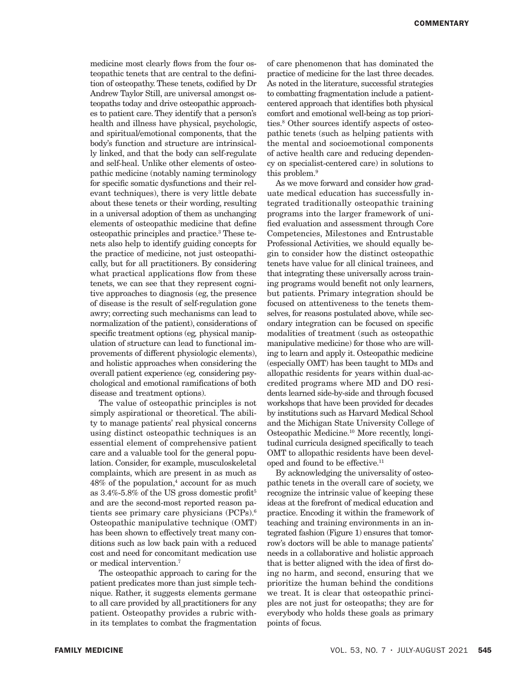medicine most clearly flows from the four osteopathic tenets that are central to the definition of osteopathy. These tenets, codified by Dr Andrew Taylor Still, are universal amongst osteopaths today and drive osteopathic approaches to patient care. They identify that a person's health and illness have physical, psychologic, and spiritual/emotional components, that the body's function and structure are intrinsically linked, and that the body can self-regulate and self-heal. Unlike other elements of osteopathic medicine (notably naming terminology for specific somatic dysfunctions and their relevant techniques), there is very little debate about these tenets or their wording, resulting in a universal adoption of them as unchanging elements of osteopathic medicine that define osteopathic principles and practice.3 These tenets also help to identify guiding concepts for the practice of medicine, not just osteopathically, but for all practitioners. By considering what practical applications flow from these tenets, we can see that they represent cognitive approaches to diagnosis (eg, the presence of disease is the result of self-regulation gone awry; correcting such mechanisms can lead to normalization of the patient), considerations of specific treatment options (eg*,* physical manipulation of structure can lead to functional improvements of different physiologic elements), and holistic approaches when considering the overall patient experience (eg*,* considering psychological and emotional ramifications of both disease and treatment options).

The value of osteopathic principles is not simply aspirational or theoretical. The ability to manage patients' real physical concerns using distinct osteopathic techniques is an essential element of comprehensive patient care and a valuable tool for the general population. Consider, for example, musculoskeletal complaints, which are present in as much as 48% of the population,4 account for as much as  $3.4\%$ -5.8% of the US gross domestic profit<sup>5</sup> and are the second-most reported reason patients see primary care physicians (PCPs).6 Osteopathic manipulative technique (OMT) has been shown to effectively treat many conditions such as low back pain with a reduced cost and need for concomitant medication use or medical intervention.7

The osteopathic approach to caring for the patient predicates more than just simple technique. Rather, it suggests elements germane to all care provided by all practitioners for any patient. Osteopathy provides a rubric within its templates to combat the fragmentation

of care phenomenon that has dominated the practice of medicine for the last three decades. As noted in the literature, successful strategies to combatting fragmentation include a patientcentered approach that identifies both physical comfort and emotional well-being as top priorities.8 Other sources identify aspects of osteopathic tenets (such as helping patients with the mental and socioemotional components of active health care and reducing dependency on specialist-centered care) in solutions to this problem.<sup>9</sup>

As we move forward and consider how graduate medical education has successfully integrated traditionally osteopathic training programs into the larger framework of unified evaluation and assessment through Core Competencies, Milestones and Entrustable Professional Activities, we should equally begin to consider how the distinct osteopathic tenets have value for all clinical trainees, and that integrating these universally across training programs would benefit not only learners, but patients. Primary integration should be focused on attentiveness to the tenets themselves, for reasons postulated above, while secondary integration can be focused on specific modalities of treatment (such as osteopathic manipulative medicine) for those who are willing to learn and apply it. Osteopathic medicine (especially OMT) has been taught to MDs and allopathic residents for years within dual-accredited programs where MD and DO residents learned side-by-side and through focused workshops that have been provided for decades by institutions such as Harvard Medical School and the Michigan State University College of Osteopathic Medicine.10 More recently, longitudinal curricula designed specifically to teach OMT to allopathic residents have been developed and found to be effective.<sup>11</sup>

By acknowledging the universality of osteopathic tenets in the overall care of society, we recognize the intrinsic value of keeping these ideas at the forefront of medical education and practice. Encoding it within the framework of teaching and training environments in an integrated fashion (Figure 1) ensures that tomorrow's doctors will be able to manage patients' needs in a collaborative and holistic approach that is better aligned with the idea of first doing no harm, and second, ensuring that we prioritize the human behind the conditions we treat. It is clear that osteopathic principles are not just for osteopaths; they are for everybody who holds these goals as primary points of focus.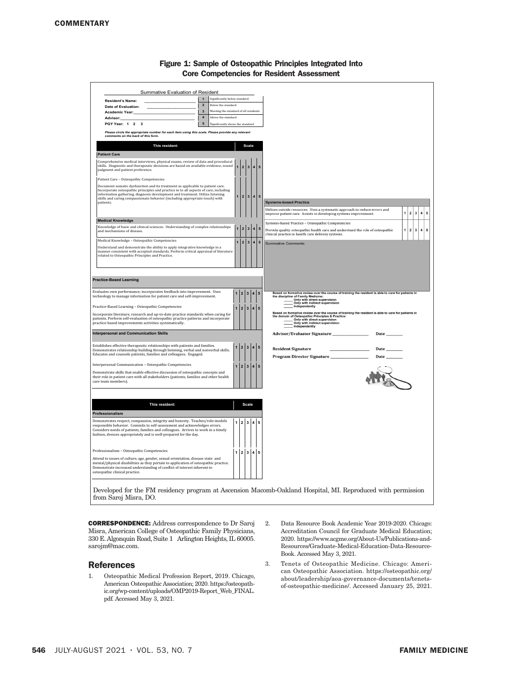| ule competencies ini                                                                                                                                                                                                                                                                                               |                                        |              |                                                                                                                                                                                                                                                                                                                                                                                     |                                             |                         |           |                                                                                                                                                                                                                                                                                           |
|--------------------------------------------------------------------------------------------------------------------------------------------------------------------------------------------------------------------------------------------------------------------------------------------------------------------|----------------------------------------|--------------|-------------------------------------------------------------------------------------------------------------------------------------------------------------------------------------------------------------------------------------------------------------------------------------------------------------------------------------------------------------------------------------|---------------------------------------------|-------------------------|-----------|-------------------------------------------------------------------------------------------------------------------------------------------------------------------------------------------------------------------------------------------------------------------------------------------|
| Summative Evaluation of Resident                                                                                                                                                                                                                                                                                   |                                        |              |                                                                                                                                                                                                                                                                                                                                                                                     |                                             |                         |           |                                                                                                                                                                                                                                                                                           |
|                                                                                                                                                                                                                                                                                                                    | 1 Significantly below standard         |              |                                                                                                                                                                                                                                                                                                                                                                                     |                                             |                         |           |                                                                                                                                                                                                                                                                                           |
| <b>Resident's Name:</b><br>$\overline{\mathbf{2}}$<br>Relow the standard<br>Date of Evaluation:                                                                                                                                                                                                                    |                                        |              |                                                                                                                                                                                                                                                                                                                                                                                     |                                             |                         |           |                                                                                                                                                                                                                                                                                           |
| Meeting the standard of all residents<br>$\mathbf 3$<br>Academic Year:                                                                                                                                                                                                                                             |                                        |              |                                                                                                                                                                                                                                                                                                                                                                                     |                                             |                         |           |                                                                                                                                                                                                                                                                                           |
| Advisor:                                                                                                                                                                                                                                                                                                           | $\boldsymbol{4}$<br>Above the standard |              |                                                                                                                                                                                                                                                                                                                                                                                     |                                             |                         |           |                                                                                                                                                                                                                                                                                           |
| PGY Year: 1 2 3                                                                                                                                                                                                                                                                                                    | 5<br>Significantly above the standard  |              |                                                                                                                                                                                                                                                                                                                                                                                     |                                             |                         |           |                                                                                                                                                                                                                                                                                           |
| Please circle the appropriate number for each item using this scale. Please provide any relevant<br>comments on the back of this form.                                                                                                                                                                             |                                        |              |                                                                                                                                                                                                                                                                                                                                                                                     |                                             |                         |           |                                                                                                                                                                                                                                                                                           |
| This resident:<br><b>Scale</b>                                                                                                                                                                                                                                                                                     |                                        |              |                                                                                                                                                                                                                                                                                                                                                                                     |                                             |                         |           |                                                                                                                                                                                                                                                                                           |
| <b>Patient Care</b>                                                                                                                                                                                                                                                                                                |                                        |              |                                                                                                                                                                                                                                                                                                                                                                                     |                                             |                         |           |                                                                                                                                                                                                                                                                                           |
| Comprehensive medical interviews, physical exams, review of data and procedural<br>skills. Diagnostic and therapeutic decisions are based on available evidence, sound<br>judgment and patient preference.                                                                                                         |                                        |              | $\mathbf 2$                                                                                                                                                                                                                                                                                                                                                                         | $\overline{\mathbf{3}}$                     | $\overline{4}$          | 5         |                                                                                                                                                                                                                                                                                           |
| Patient Care - Osteopathic Competencies                                                                                                                                                                                                                                                                            |                                        |              |                                                                                                                                                                                                                                                                                                                                                                                     |                                             |                         |           |                                                                                                                                                                                                                                                                                           |
| Document somatic dysfunction and its treatment as applicable to patient care.                                                                                                                                                                                                                                      |                                        |              |                                                                                                                                                                                                                                                                                                                                                                                     |                                             |                         |           |                                                                                                                                                                                                                                                                                           |
| Incorporate osteopathic principles and practice in to all aspects of care, including<br>information gathering, diagnosis development and treatment. Utilize listening                                                                                                                                              |                                        |              | $\mathbf{2}% ^{2}=\mathbf{2}^{2}+\mathbf{1}^{2}+\mathbf{1}^{2}+\mathbf{1}^{2}+\mathbf{1}^{2}+\mathbf{1}^{2}+\mathbf{1}^{2}+\mathbf{1}^{2}+\mathbf{1}^{2}+\mathbf{1}^{2}+\mathbf{1}^{2}+\mathbf{1}^{2}+\mathbf{1}^{2}+\mathbf{1}^{2}+\mathbf{1}^{2}+\mathbf{1}^{2}+\mathbf{1}^{2}+\mathbf{1}^{2}+\mathbf{1}^{2}+\mathbf{1}^{2}+\mathbf{1}^{2}+\mathbf{1}^{2}+\mathbf{1}^{2}+\mathbf$ | 3 4                                         |                         | ${\bf 5}$ |                                                                                                                                                                                                                                                                                           |
| skills and caring compassionate behavior (including appropriate touch) with<br>patients.                                                                                                                                                                                                                           |                                        |              |                                                                                                                                                                                                                                                                                                                                                                                     |                                             |                         |           | <b>Systems-based Practice</b>                                                                                                                                                                                                                                                             |
|                                                                                                                                                                                                                                                                                                                    |                                        |              |                                                                                                                                                                                                                                                                                                                                                                                     |                                             |                         |           | Utilizes outside resources. Uses a systematic approach to reduce errors and                                                                                                                                                                                                               |
|                                                                                                                                                                                                                                                                                                                    |                                        |              |                                                                                                                                                                                                                                                                                                                                                                                     |                                             |                         |           | 4<br>1<br>$\mathbf{2}$<br>$\mathbf 3$<br>${\bf 5}$<br>improve patient care. Assists in developing systems improvement.                                                                                                                                                                    |
| <b>Medical Knowledge</b>                                                                                                                                                                                                                                                                                           |                                        |              |                                                                                                                                                                                                                                                                                                                                                                                     |                                             |                         |           | Systems-based Practice - Osteopathic Competencies                                                                                                                                                                                                                                         |
| Knowledge of basic and clinical sciences. Understanding of complex relationships<br>and mechanisms of disease.                                                                                                                                                                                                     |                                        |              | $\mathbf 2$                                                                                                                                                                                                                                                                                                                                                                         | $3 \mid 4 \mid 5$                           |                         |           | $\mathbf 3$<br>4 5<br>Provide quality osteopathic health care and understand the role of osteopathic<br>1<br>$\overline{\mathbf{2}}$<br>clinical practice in health care delivery systems.                                                                                                |
| Medical Knowledge - Osteopathic Competencies                                                                                                                                                                                                                                                                       |                                        |              | $\mathbf{2}$                                                                                                                                                                                                                                                                                                                                                                        | $\mathbf{3}$                                | $\overline{4}$          | 5         | <b>Summative Comments:</b>                                                                                                                                                                                                                                                                |
| Understand and demonstrate the ability to apply integrative knowledge in a<br>manner consistent with accepted standards. Perform critical appraisal of literature<br>related to Osteopathic Principles and Practice.                                                                                               |                                        |              |                                                                                                                                                                                                                                                                                                                                                                                     |                                             |                         |           |                                                                                                                                                                                                                                                                                           |
| <b>Practice-Based Learning</b><br>Evaluates own performance; incorporates feedback into improvement. Uses                                                                                                                                                                                                          |                                        |              |                                                                                                                                                                                                                                                                                                                                                                                     |                                             |                         |           |                                                                                                                                                                                                                                                                                           |
| technology to manage information for patient care and self-improvement.                                                                                                                                                                                                                                            |                                        | 1            | $\mathbf 2$                                                                                                                                                                                                                                                                                                                                                                         | $\mathbf 3$                                 | 4                       | 5         | Based on formative review over the course of training the resident is able to care for patients in<br>Based on ionnative review were used to the discipline of Family Medicine:<br>the discipline of Family Medicine:<br>Only with indirect supervision<br>Only with indirect supervision |
| Practice-Based Learning - Osteopathic Competencies                                                                                                                                                                                                                                                                 |                                        | $\mathbf{1}$ | $\overline{2}$                                                                                                                                                                                                                                                                                                                                                                      | $\overline{\mathbf{3}}$<br>$\boldsymbol{4}$ |                         | 5         | Independently                                                                                                                                                                                                                                                                             |
| Incorporate literature, research and up-to-date practice standards when caring for<br>patients. Perform self-evaluation of osteopathic practice patterns and incorporate<br>practice-based improvements activities systematically.                                                                                 |                                        |              |                                                                                                                                                                                                                                                                                                                                                                                     |                                             |                         |           | Based on formative review over the course of training the resident is able to care for patients in<br>Only with indirect supervision<br>Independently                                                                                                                                     |
| <b>Interpersonal and Communication Skills</b><br>Advisor/Evaluator Signature<br>Date_                                                                                                                                                                                                                              |                                        |              |                                                                                                                                                                                                                                                                                                                                                                                     |                                             |                         |           |                                                                                                                                                                                                                                                                                           |
| Establishes effective therapeutic relationships with patients and families.                                                                                                                                                                                                                                        |                                        | $\mathbf{1}$ | $\overline{2}$                                                                                                                                                                                                                                                                                                                                                                      | $\overline{\mathbf{3}}$                     | $\overline{\mathbf{4}}$ | 5         | <b>Resident Signature</b><br>Date                                                                                                                                                                                                                                                         |
| Demonstrates relationship building through listening, verbal and nonverbal skills.<br>Educates and counsels patients, families and colleagues. Engaged.                                                                                                                                                            |                                        |              |                                                                                                                                                                                                                                                                                                                                                                                     |                                             |                         |           | Program Director Signature_<br>Date                                                                                                                                                                                                                                                       |
| Interpersonal Communication - Osteopathic Competencies                                                                                                                                                                                                                                                             |                                        | $\mathbf{1}$ | $2 \mid 3$                                                                                                                                                                                                                                                                                                                                                                          | $\overline{4}$                              |                         | ${\bf 5}$ |                                                                                                                                                                                                                                                                                           |
| Demonstrate skills that enable effective discussion of osteopathic concepts and<br>their role in patient care with all stakeholders (patients, families and other health<br>care team members).                                                                                                                    |                                        |              |                                                                                                                                                                                                                                                                                                                                                                                     |                                             |                         |           |                                                                                                                                                                                                                                                                                           |
|                                                                                                                                                                                                                                                                                                                    |                                        |              |                                                                                                                                                                                                                                                                                                                                                                                     |                                             |                         |           |                                                                                                                                                                                                                                                                                           |
| This resident:                                                                                                                                                                                                                                                                                                     |                                        | <b>Scale</b> |                                                                                                                                                                                                                                                                                                                                                                                     |                                             |                         |           |                                                                                                                                                                                                                                                                                           |
| Professionalism                                                                                                                                                                                                                                                                                                    |                                        |              |                                                                                                                                                                                                                                                                                                                                                                                     |                                             |                         |           |                                                                                                                                                                                                                                                                                           |
| Demonstrates respect, compassion, integrity and honesty. Teaches/role-models<br>responsible behavior. Commits to self-assessment and acknowledges errors.<br>Considers needs of patients, families and colleagues. Arrives to work in a timely<br>fashion, dresses appropriately and is well-prepared for the day. |                                        | $\mathbf{1}$ | $\overline{2}$                                                                                                                                                                                                                                                                                                                                                                      | $\overline{\mathbf{3}}$                     | $\overline{\mathbf{4}}$ | 5         |                                                                                                                                                                                                                                                                                           |
| Professionalism - Osteopathic Competencies                                                                                                                                                                                                                                                                         |                                        | 1            | 2 <sup>1</sup>                                                                                                                                                                                                                                                                                                                                                                      | $\mathbf{3}$<br>$\overline{\mathbf{4}}$     |                         | 5         |                                                                                                                                                                                                                                                                                           |
| Attend to issues of culture, age, gender, sexual orientation, disease state and<br>mental/physical disabilities as they pertain to application of osteopathic practice.<br>Demonstrate increased understanding of conflict of interest inherent to<br>osteopathic clinical practice.                               |                                        |              |                                                                                                                                                                                                                                                                                                                                                                                     |                                             |                         |           |                                                                                                                                                                                                                                                                                           |
| Developed for the FM residency program at Ascension Macomb-Oakland Hospital, MI. Reproduced with permission<br>from Saroj Misra, DO.                                                                                                                                                                               |                                        |              |                                                                                                                                                                                                                                                                                                                                                                                     |                                             |                         |           |                                                                                                                                                                                                                                                                                           |

### Figure 1: Sample of Osteopathic Principles Integrated Into Core Competencies for Resident Assessment

CORRESPONDENCE: Address correspondence to Dr Saroj Misra, American College of Osteopathic Family Physicians, 330 E. Algonquin Road, Suite 1 Arlington Heights, IL 60005. sarojm@mac.com.

#### References

- 1. Osteopathic Medical Profession Report, 2019. Chicago, American Osteopathic Association; 2020. https://osteopathic.org/wp-content/uploads/OMP2019-Report\_Web\_FINAL. pdf. Accessed May 3, 2021.
- 2. Data Resource Book Academic Year 2019-2020. Chicago: Accreditation Council for Graduate Medical Education; 2020. https://www.acgme.org/About-Us/Publications-and-Resources/Graduate-Medical-Education-Data-Resource-Book. Accessed May 3, 2021.
- 3. Tenets of Osteopathic Medicine. Chicago: American Osteopathic Association. https://osteopathic.org/ about/leadership/aoa-governance-documents/tenetsof-osteopathic-medicine/. Accessed January 25, 2021.